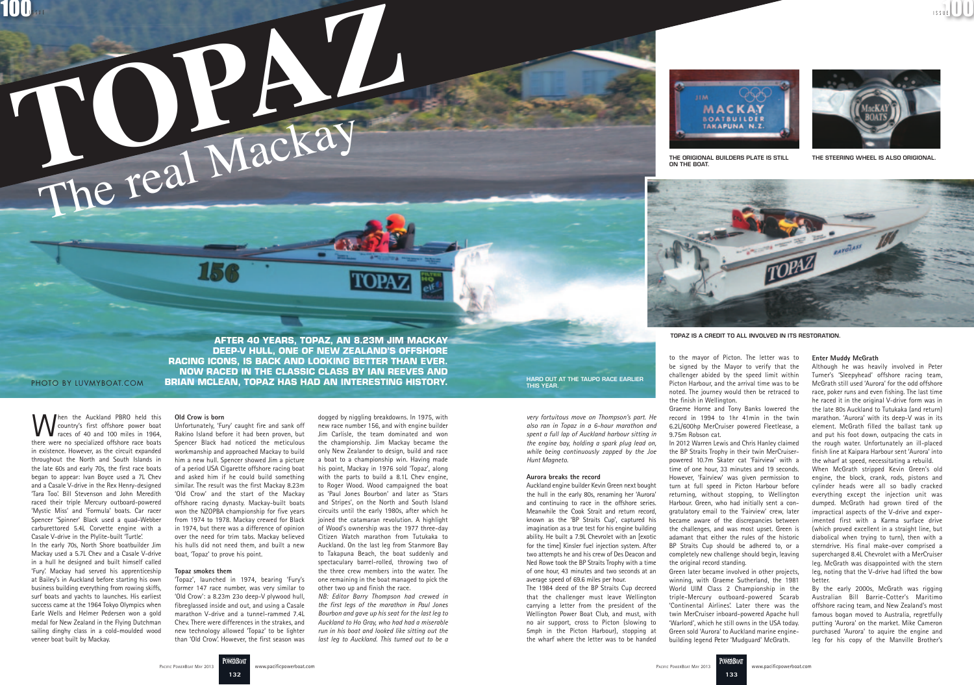

ON THE BOAT



**After 40 years, Topaz, an 8.23m Jim Mackay deep-V hull, one of New Zealand's offshore racing icons, is back and looking better than ever. Now raced in the Classic class by Ian Reeves and**  PHOTO BY LUVMYBOAT.COM **BRIAN MCLEAN, TOPAZ HAS HAD AN INTERESTING HISTORY.** This year.

**132** 

**POWERBOA** 

Then the Auckland PBRO held this country's first offshore power boat races of 40 and 100 miles in 1964,

there were no specialized offshore race boats in existence. However, as the circuit expanded throughout the North and South Islands in the late 60s and early 70s, the first race boats began to appear: Ivan Boyce used a 7L Chev and a Casale V-drive in the Rex Henry-designed 'Tara Too'. Bill Stevenson and John Meredith raced their triple Mercury outboard-powered 'Mystic Miss' and 'Formula' boats. Car racer Spencer 'Spinner' Black used a quad-Webber carburettored 5.4L Corvette engine with a Casale V-drive in the Plylite-built 'Turtle'. In the early 70s, North Shore boatbuilder Jim Mackay used a 5.7L Chev and a Casale V-drive in a hull he designed and built himself called 'Fury'. Mackay had served his apprenticeship at Bailey's in Auckland before starting his own business building everything from rowing skiffs, surf boats and yachts to launches. His earliest success came at the 1964 Tokyo Olympics when Earle Wells and Helmer Pedersen won a gold medal for New Zealand in the Flying Dutchman sailing dinghy class in a cold-moulded wood

veneer boat built by Mackay.

### **Old Crow is born**

Unfortunately, 'Fury' caught fire and sank off Rakino Island before it had been proven, but Spencer Black had noticed the meticulous workmanship and approached Mackay to build him a new hull. Spencer showed Jim a picture of a period USA Cigarette offshore racing boat and asked him if he could build something similar. The result was the first Mackay 8.23m 'Old Crow' and the start of the Mackay offshore racing dynasty. Mackay-built boats won the NZOPBA championship for five years from 1974 to 1978. Mackay crewed for Black in 1974, but there was a difference of opinion over the need for trim tabs. Mackay believed his hulls did not need them, and built a new boat, 'Topaz' to prove his point.

### **Topaz smokes them**

'Topaz', launched in 1974, bearing 'Fury's former 147 race number, was very similar to 'Old Crow': a 8.23m 23o deep-V plywood hull, fibreglassed inside and out, and using a Casale marathon V-drive and a tunnel-rammed 7.4L Chev. There were differences in the strakes, and new technology allowed 'Topaz' to be lighter than 'Old Crow'. However, the first season was

### dogged by niggling breakdowns. In 1975, with new race number 156, and with engine builder Jim Carlisle, the team dominated and won the championship. Jim Mackay became the only New Zealander to design, build and race a boat to a championship win. Having made his point, Mackay in 1976 sold 'Topaz', along with the parts to build a 8.1L Chev engine, to Roger Wood. Wood campaigned the boat as 'Paul Jones Bourbon' and later as 'Stars and Stripes', on the North and South Island circuits until the early 1980s, after which he joined the catamaran revolution. A highlight of Wood's ownership was the 1977 three-day Citizen Watch marathon from Tutukaka to Auckland. On the last leg from Stanmore Bay to Takapuna Beach, the boat suddenly and spectaculary barrel-rolled, throwing two of the three crew members into the water. The one remaining in the boat managed to pick the other two up and finish the race.

*NB: Editor Barry Thompson had crewed in the first legs of the marathon in Paul Jones Bourbon and gave up his seat for the last leg to Auckland to Ho Gray, who had had a miserable run in his boat and looked like sitting out the last leg to Auckland. This turned out to be a*  *very fortuitous move on Thompson's part. He also ran in Topaz in a 6-hour marathon and spent a full lap of Auckland harbour sitting in the engine bay, holding a spark plug lead on, while being continuously zapped by the Joe Hunt Magneto.*

### **Aurora breaks the record**

Auckland engine builder Kevin Green next bought the hull in the early 80s, renaming her 'Aurora' and continuing to race in the offshore series. Meanwhile the Cook Strait and return record, known as the 'BP Straits Cup', captured his imagination as a true test for his engine building ability. He built a 7.9L Chevrolet with an [exotic for the time] Kinsler fuel injection system. After two attempts he and his crew of Des Deacon and Ned Rowe took the BP Straits Trophy with a time of one hour, 43 minutes and two seconds at an average speed of 69.6 miles per hour.

The 1984 deed of the BP Straits Cup decreed that the challenger must leave Wellington carrying a letter from the president of the Wellington Power Boat Club, and must, with no air support, cross to Picton (slowing to 5mph in the Picton Harbour), stopping at the wharf where the letter was to be handed

to the mayor of Picton. The letter was to be signed by the Mayor to verify that the challenger abided by the speed limit within Picton Harbour, and the arrival time was to be noted. The journey would then be retraced to

Graeme Horne and Tony Banks lowered the record in 1994 to 1hr 41min in the twin 6.2L/600hp MerCruiser powered Fleetlease, a

the finish in Wellington. 9.75m Robson cat. the original record standing.

In 2012 Warren Lewis and Chris Hanley claimed the BP Straits Trophy in their twin MerCruiserpowered 10.7m Skater cat 'Fairview' with a time of one hour, 33 minutes and 19 seconds. However, 'Fairview' was given permission to turn at full speed in Picton Harbour before returning, without stopping, to Wellington Harbour. Green, who had initially sent a congratulatory email to the 'Fairview' crew, later became aware of the discrepancies between the challenges, and was most upset. Green is adamant that either the rules of the historic BP Straits Cup should be adhered to, or a completely new challenge should begin, leaving

Green later became involved in other projects, winning, with Graeme Sutherland, the 1981 World UIM Class 2 Championship in the triple-Mercury outboard-powered Scarab 'Continental Airlines'. Later there was the twin MerCruiser inboard-powered Apache hull 'Warlord', which he still owns in the USA today. Green sold 'Aurora' to Auckland marine enginebuilding legend Peter 'Mudguard' McGrath.

#### **Enter Muddy McGrath**

Although he was heavily involved in Peter Turner's 'Sleepyhead' offshore racing team, McGrath still used 'Aurora' for the odd offshore race, poker runs and even fishing. The last time he raced it in the original V-drive form was in the late 80s Auckland to Tutukaka (and return) marathon. 'Aurora' with its deep-V was in its element. McGrath filled the ballast tank up and put his foot down, outpacing the cats in the rough water. Unfortunately an ill-placed finish line at Kaipara Harbour sent 'Aurora' into the wharf at speed, necessitating a rebuild.

When McGrath stripped Kevin Green's old engine, the block, crank, rods, pistons and cylinder heads were all so badly cracked everything except the injection unit was dumped. McGrath had grown tired of the impractical aspects of the V-drive and experimented first with a Karma surface drive (which proved excellent in a straight line, but diabolical when trying to turn), then with a sterndrive. His final make-over comprised a supercharged 8.4L Chevrolet with a MerCruiser leg. McGrath was disappointed with the stern leg, noting that the V-drive had lifted the bow better.

By the early 2000s, McGrath was rigging Australian Bill Barrie-Cotter's Maritimo offshore racing team, and New Zealand's most famous bogan moved to Australia, regretfully putting 'Aurora' on the market. Mike Cameron purchased 'Aurora' to aquire the engine and leg for his copy of the Manville Brother's

Hard out at the Taupo race earlier

The origional builders plate is still



The steering wheel is also origional.

Topaz is a credit to all involved in its restoration.